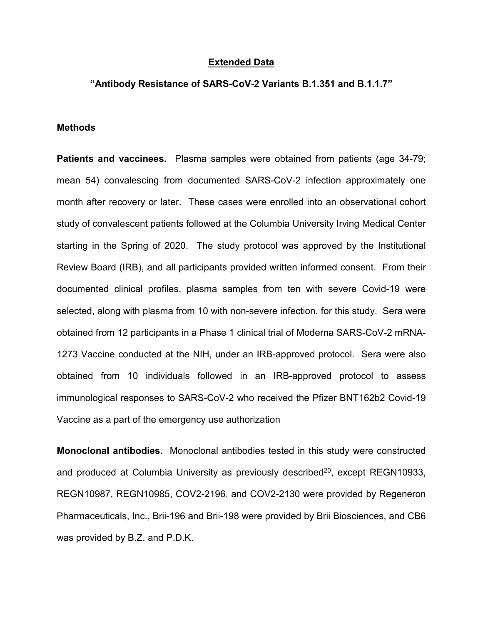## **Extended Data**

## **"Antibody Resistance of SARS-CoV-2 Variants B.1.351 and B.1.1.7"**

## **Methods**

**Patients and vaccinees.** Plasma samples were obtained from patients (age 34-79; mean 54) convalescing from documented SARS-CoV-2 infection approximately one month after recovery or later. These cases were enrolled into an observational cohort study of convalescent patients followed at the Columbia University Irving Medical Center starting in the Spring of 2020. The study protocol was approved by the Institutional Review Board (IRB), and all participants provided written informed consent. From their documented clinical profiles, plasma samples from ten with severe Covid-19 were selected, along with plasma from 10 with non-severe infection, for this study. Sera were obtained from 12 participants in a Phase 1 clinical trial of Moderna SARS-CoV-2 mRNA-1273 Vaccine conducted at the NIH, under an IRB-approved protocol. Sera were also obtained from 10 individuals followed in an IRB-approved protocol to assess immunological responses to SARS-CoV-2 who received the Pfizer BNT162b2 Covid-19 Vaccine as a part of the emergency use authorization

**Monoclonal antibodies.** Monoclonal antibodies tested in this study were constructed and produced at Columbia University as previously described $20$ , except REGN10933, REGN10987, REGN10985, COV2-2196, and COV2-2130 were provided by Regeneron Pharmaceuticals, Inc., Brii-196 and Brii-198 were provided by Brii Biosciences, and CB6 was provided by B.Z. and P.D.K.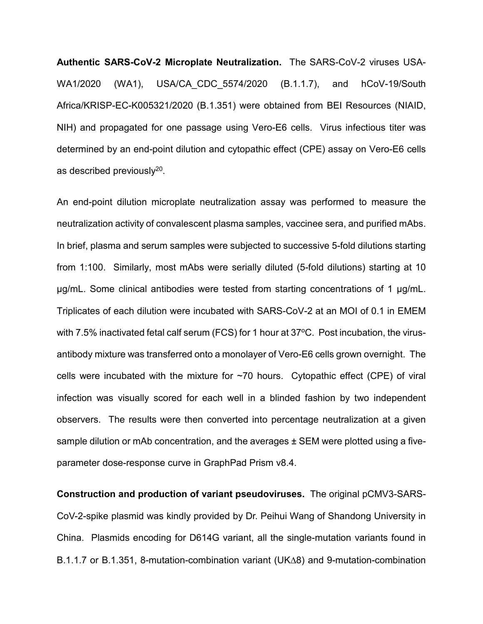**Authentic SARS-CoV-2 Microplate Neutralization.** The SARS-CoV-2 viruses USA-WA1/2020 (WA1), USA/CA\_CDC\_5574/2020 (B.1.1.7), and hCoV-19/South Africa/KRISP-EC-K005321/2020 (B.1.351) were obtained from BEI Resources (NIAID, NIH) and propagated for one passage using Vero-E6 cells. Virus infectious titer was determined by an end-point dilution and cytopathic effect (CPE) assay on Vero-E6 cells as described previously20.

An end-point dilution microplate neutralization assay was performed to measure the neutralization activity of convalescent plasma samples, vaccinee sera, and purified mAbs. In brief, plasma and serum samples were subjected to successive 5-fold dilutions starting from 1:100. Similarly, most mAbs were serially diluted (5-fold dilutions) starting at 10 µg/mL. Some clinical antibodies were tested from starting concentrations of 1 µg/mL. Triplicates of each dilution were incubated with SARS-CoV-2 at an MOI of 0.1 in EMEM with 7.5% inactivated fetal calf serum (FCS) for 1 hour at  $37^{\circ}$ C. Post incubation, the virusantibody mixture was transferred onto a monolayer of Vero-E6 cells grown overnight. The cells were incubated with the mixture for  $\sim$ 70 hours. Cytopathic effect (CPE) of viral infection was visually scored for each well in a blinded fashion by two independent observers. The results were then converted into percentage neutralization at a given sample dilution or mAb concentration, and the averages  $\pm$  SEM were plotted using a fiveparameter dose-response curve in GraphPad Prism v8.4.

**Construction and production of variant pseudoviruses.** The original pCMV3-SARS-CoV-2-spike plasmid was kindly provided by Dr. Peihui Wang of Shandong University in China. Plasmids encoding for D614G variant, all the single-mutation variants found in B.1.1.7 or B.1.351, 8-mutation-combination variant (UK∆8) and 9-mutation-combination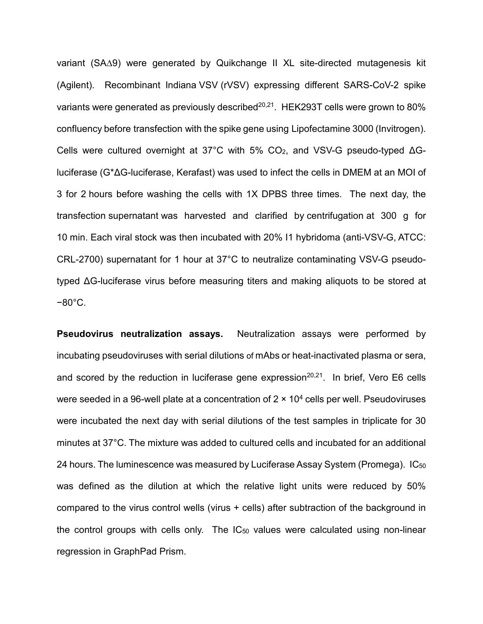variant (SA∆9) were generated by Quikchange II XL site-directed mutagenesis kit (Agilent). Recombinant Indiana [VSV](https://www.sciencedirect.com/topics/biochemistry-genetics-and-molecular-biology/vesiculovirus) (rVSV) expressing different SARS-CoV-2 spike variants were generated as previously described<sup>20,21</sup>. HEK293T cells were grown to 80% confluency before [transfection](https://www.sciencedirect.com/topics/biochemistry-genetics-and-molecular-biology/transfection) with the spike gene using Lipofectamine 3000 (Invitrogen). Cells were cultured overnight at 37°C with 5% CO2, and VSV-G pseudo-typed ΔGluciferase (G\*ΔG-luciferase, Kerafast) was used to infect the cells in DMEM at an MOI of 3 for 2 hours before washing the cells with 1X DPBS three times. The next day, the transfection [supernatant](https://www.sciencedirect.com/topics/biochemistry-genetics-and-molecular-biology/supernatant) was harvested and clarified by [centrifugation](https://www.sciencedirect.com/topics/biochemistry-genetics-and-molecular-biology/centrifugation) at 300 g for 10 min. Each viral stock was then incubated with 20% I1 hybridoma (anti-VSV-G, ATCC: CRL-2700) supernatant for 1 hour at 37°C to neutralize contaminating VSV-G pseudotyped ΔG-luciferase virus before measuring titers and making aliquots to be stored at −80°C.

**Pseudovirus neutralization assays.** Neutralization assays were performed by incubating pseudoviruses with serial dilutions of mAbs or heat-inactivated plasma or sera, and scored by the reduction in luciferase gene expression<sup>20,21</sup>. In brief, Vero E6 cells were seeded in a 96-well plate at a concentration of  $2 \times 10^4$  cells per well. Pseudoviruses were incubated the next day with serial dilutions of the test samples in triplicate for 30 minutes at 37°C. The mixture was added to cultured cells and incubated for an additional 24 hours. The luminescence was measured by Luciferase Assay System (Promega). IC<sub>50</sub> was defined as the dilution at which the relative light units were reduced by 50% compared to the virus control wells (virus + cells) after subtraction of the background in the control groups with cells only. The  $IC_{50}$  values were calculated using non-linear regression in GraphPad Prism.